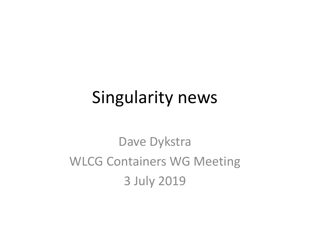## Singularity news

Dave Dykstra WLCG Containers WG Meeting 3 July 2019